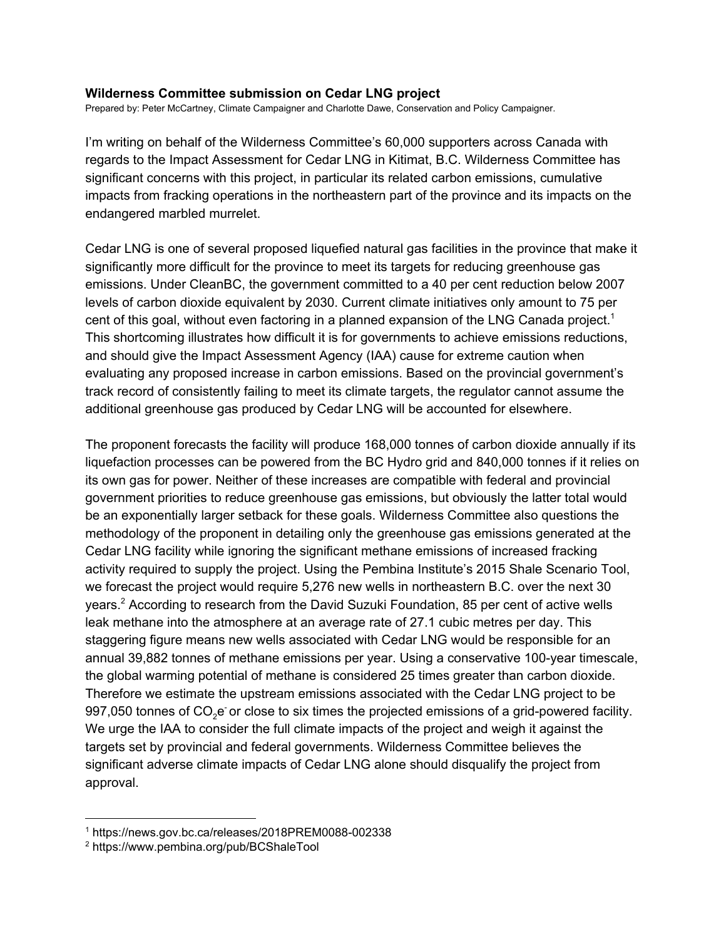## **Wilderness Committee submission on Cedar LNG project**

Prepared by: Peter McCartney, Climate Campaigner and Charlotte Dawe, Conservation and Policy Campaigner.

I'm writing on behalf of the Wilderness Committee's 60,000 supporters across Canada with regards to the Impact Assessment for Cedar LNG in Kitimat, B.C. Wilderness Committee has significant concerns with this project, in particular its related carbon emissions, cumulative impacts from fracking operations in the northeastern part of the province and its impacts on the endangered marbled murrelet.

Cedar LNG is one of several proposed liquefied natural gas facilities in the province that make it significantly more difficult for the province to meet its targets for reducing greenhouse gas emissions. Under CleanBC, the government committed to a 40 per cent reduction below 2007 levels of carbon dioxide equivalent by 2030. Current climate initiatives only amount to 75 per cent of this goal, without even factoring in a planned expansion of the LNG Canada project.<sup>1</sup> This shortcoming illustrates how difficult it is for governments to achieve emissions reductions, and should give the Impact Assessment Agency (IAA) cause for extreme caution when evaluating any proposed increase in carbon emissions. Based on the provincial government's track record of consistently failing to meet its climate targets, the regulator cannot assume the additional greenhouse gas produced by Cedar LNG will be accounted for elsewhere.

The proponent forecasts the facility will produce 168,000 tonnes of carbon dioxide annually if its liquefaction processes can be powered from the BC Hydro grid and 840,000 tonnes if it relies on its own gas for power. Neither of these increases are compatible with federal and provincial government priorities to reduce greenhouse gas emissions, but obviously the latter total would be an exponentially larger setback for these goals. Wilderness Committee also questions the methodology of the proponent in detailing only the greenhouse gas emissions generated at the Cedar LNG facility while ignoring the significant methane emissions of increased fracking activity required to supply the project. Using the Pembina Institute's 2015 Shale Scenario Tool, we forecast the project would require 5,276 new wells in northeastern B.C. over the next 30 years.<sup>2</sup> According to research from the David Suzuki Foundation, 85 per cent of active wells leak methane into the atmosphere at an average rate of 27.1 cubic metres per day. This staggering figure means new wells associated with Cedar LNG would be responsible for an annual 39,882 tonnes of methane emissions per year. Using a conservative 100-year timescale, the global warming potential of methane is considered 25 times greater than carbon dioxide. Therefore we estimate the upstream emissions associated with the Cedar LNG project to be 997,050 tonnes of CO<sub>2</sub>e or close to six times the projected emissions of a grid-powered facility. We urge the IAA to consider the full climate impacts of the project and weigh it against the targets set by provincial and federal governments. Wilderness Committee believes the significant adverse climate impacts of Cedar LNG alone should disqualify the project from approval.

<sup>1</sup> https://news.gov.bc.ca/releases/2018PREM0088-002338

<sup>2</sup> https://www.pembina.org/pub/BCShaleTool